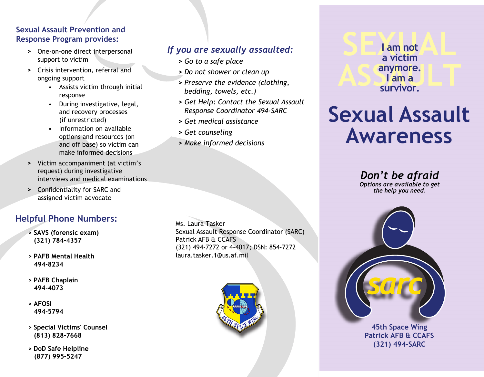#### **Sexual Assault Prevention and Response Program provides:**

- **>** One-on-one direct interpersonal support to victim
- **>** Crisis intervention, referral and ongoing support
	- Assists victim through initial response
	- During investigative, legal, and recovery processes (if unrestricted)
	- Information on available options and resources (on and off base) so victim can make informed decisions
- **>** Victim accompaniment (at victim's request) during investigative interviews and medical examinations
- **>** Confidentiality for SARC and assigned victim advocate

## **Helpful Phone Numbers:** Ms. Laura Tasker

- **> SAVS (forensic exam) (321) 784-4357**
- **> PAFB Mental Health 494-8234**
- **> PAFB Chaplain 494-4073**
- **> AFOSI 494-5794**
- **> Special Victims' Counsel (813) 828-7668**
- **> DoD Safe Helpline (877) 995-5247**

#### *If you are sexually assaulted:*

- **>** *Go to a safe place*
- **>** *Do not shower or clean up*
- **>** *Preserve the evidence (clothing, bedding, towels, etc.)*
- **>** *Get Help: Contact the Sexual Assault Response Coordinator 494-SARC*
- **>** *Get medical assistance*
- **>** *Get counseling*
- **>** *Make informed decisions*

**SEXUAL ASS**<br> **S** am a<br> **ASS**<br> **Survivor. I am not a victim anymore. I am a survivor.**

# **Sexual Assault Awareness**

*Don't be afraid Options are available to get the help you need.*

**45th Space Wing Patrick AFB & CCAFS**

**(321) 494-SARC**

Sexual Assault Response Coordinator (SARC) Patrick AFB & CCAFS (321) 494-7272 or 4-4017; DSN: 854-7272 laura.tasker.1@us.af.mil